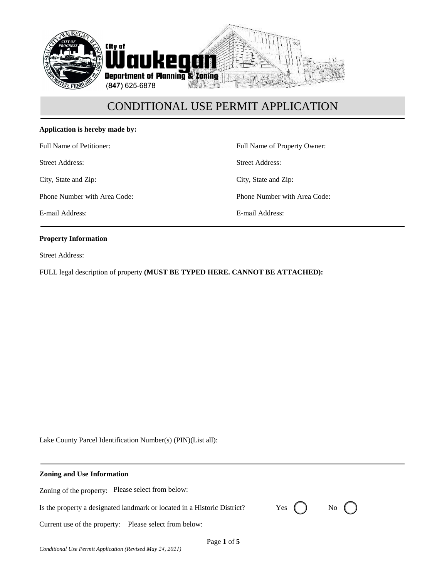

## **Application is hereby made by:**

Full Name of Petitioner:

Street Address:

City, State and Zip:

Phone Number with Area Code:

E-mail Address:

Full Name of Property Owner: Street Address: City, State and Zip: Phone Number with Area Code:

E-mail Address:

#### **Property Information**

Street Address:

FULL legal description of property **(MUST BE TYPED HERE. CANNOT BE ATTACHED):**

Lake County Parcel Identification Number(s) (PIN)(List all):

| <b>Zoning and Use Information</b> |  |
|-----------------------------------|--|
|                                   |  |

Zoning of the property: Please select from below:

Is the property a designated landmark or located in a Historic District?  $Yes$   $\Box$  No

Current use of the property: Please select from below: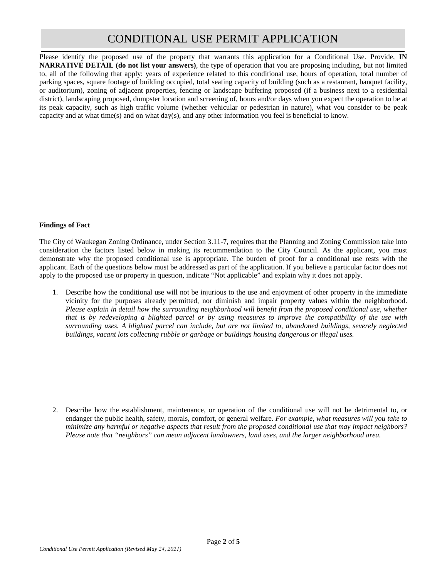Please identify the proposed use of the property that warrants this application for a Conditional Use. Provide, **IN NARRATIVE DETAIL (do not list your answers)**, the type of operation that you are proposing including, but not limited to, all of the following that apply: years of experience related to this conditional use, hours of operation, total number of parking spaces, square footage of building occupied, total seating capacity of building (such as a restaurant, banquet facility, or auditorium), zoning of adjacent properties, fencing or landscape buffering proposed (if a business next to a residential district), landscaping proposed, dumpster location and screening of, hours and/or days when you expect the operation to be at its peak capacity, such as high traffic volume (whether vehicular or pedestrian in nature), what you consider to be peak capacity and at what time(s) and on what day(s), and any other information you feel is beneficial to know.

## **Findings of Fact**

The City of Waukegan Zoning Ordinance, under Section 3.11-7, requires that the Planning and Zoning Commission take into consideration the factors listed below in making its recommendation to the City Council. As the applicant, you must demonstrate why the proposed conditional use is appropriate. The burden of proof for a conditional use rests with the applicant. Each of the questions below must be addressed as part of the application. If you believe a particular factor does not apply to the proposed use or property in question, indicate "Not applicable" and explain why it does not apply.

1. Describe how the conditional use will not be injurious to the use and enjoyment of other property in the immediate vicinity for the purposes already permitted, nor diminish and impair property values within the neighborhood. *Please explain in detail how the surrounding neighborhood will benefit from the proposed conditional use, whether that is by redeveloping a blighted parcel or by using measures to improve the compatibility of the use with surrounding uses. A blighted parcel can include, but are not limited to, abandoned buildings, severely neglected buildings, vacant lots collecting rubble or garbage or buildings housing dangerous or illegal uses.*

2. Describe how the establishment, maintenance, or operation of the conditional use will not be detrimental to, or endanger the public health, safety, morals, comfort, or general welfare. *For example, what measures will you take to minimize any harmful or negative aspects that result from the proposed conditional use that may impact neighbors? Please note that "neighbors" can mean adjacent landowners, land uses, and the larger neighborhood area.*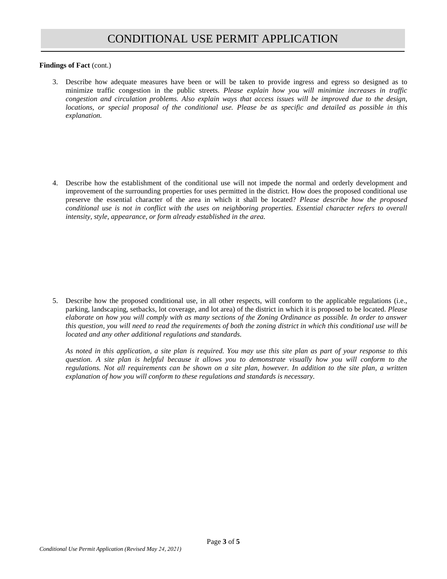**Findings of Fact (cont.)** 

3. Describe how adequate measures have been or will be taken to provide ingress and egress so designed as to minimize traffic congestion in the public streets. *Please explain how you will minimize increases in traffic congestion and circulation problems. Also explain ways that access issues will be improved due to the design, locations, or special proposal of the conditional use. Please be as specific and detailed as possible in this explanation.*

4. Describe how the establishment of the conditional use will not impede the normal and orderly development and improvement of the surrounding properties for uses permitted in the district. How does the proposed conditional use preserve the essential character of the area in which it shall be located? *Please describe how the proposed conditional use is not in conflict with the uses on neighboring properties. Essential character refers to overall intensity, style, appearance, or form already established in the area.*

5. Describe how the proposed conditional use, in all other respects, will conform to the applicable regulations (i.e., parking, landscaping, setbacks, lot coverage, and lot area) of the district in which it is proposed to be located. *Please elaborate on how you will comply with as many sections of the Zoning Ordinance as possible. In order to answer this question, you will need to read the requirements of both the zoning district in which this conditional use will be located and any other additional regulations and standards.*

*As noted in this application, a site plan is required. You may use this site plan as part of your response to this question. A site plan is helpful because it allows you to demonstrate visually how you will conform to the regulations. Not all requirements can be shown on a site plan, however. In addition to the site plan, a written explanation of how you will conform to these regulations and standards is necessary.*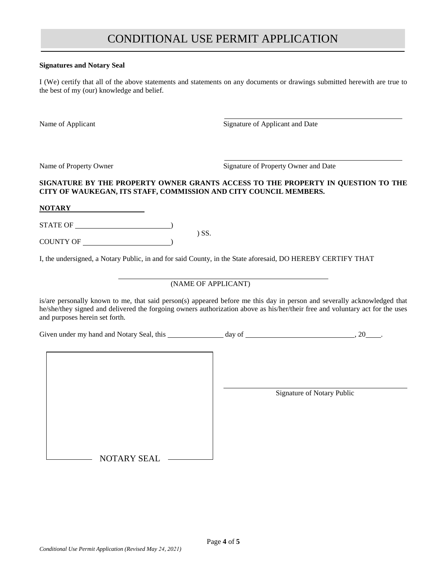#### **Signatures and Notary Seal**

I (We) certify that all of the above statements and statements on any documents or drawings submitted herewith are true to the best of my (our) knowledge and belief.

Name of Applicant Signature of Applicant and Date

Name of Property Owner Signature of Property Owner and Date

## **SIGNATURE BY THE PROPERTY OWNER GRANTS ACCESS TO THE PROPERTY IN QUESTION TO THE CITY OF WAUKEGAN, ITS STAFF, COMMISSION AND CITY COUNCIL MEMBERS.**

**NOTARY**

STATE OF  $\overline{\phantom{a}}$ 

COUNTY OF  $\qquad$ 

I, the undersigned, a Notary Public, in and for said County, in the State aforesaid, DO HEREBY CERTIFY THAT

) SS.

## (NAME OF APPLICANT)

is/are personally known to me, that said person(s) appeared before me this day in person and severally acknowledged that he/she/they signed and delivered the forgoing owners authorization above as his/her/their free and voluntary act for the uses and purposes herein set forth.

Given under my hand and Notary Seal, this  $\frac{1}{2}$  day of  $\frac{1}{2}$  ...  $\frac{20}{2}$ .

Signature of Notary Public

NOTARY SEAL